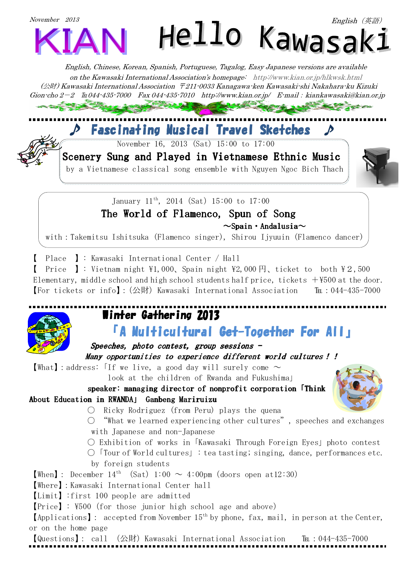

*English, Chinese, Korean, Spanish, Portuguese, Tagalog, Easy Japanese versions are available on the Kawasaki International Association's homepage: http://www.kian.or.jp/hlkwsk.html (*公財*) Kawasaki International Association* 〒*211-0033 Kanagawa-ken Kawasaki-shi Nakahara-ku Kizuki Gion-cho 2*-*2* ℡*044-435-7000 Fax 044-435-7010 http://www.kian.or.jp/ E-mail*:*kiankawasaki@kian.or.jp*

## ♪ Fascinating Musical Travel Sketches ♪

November 16, 2013 (Sat) 15:00 to 17:00



Scenery Sung and Played in Vietnamese Ethnic Music

by a Vietnamese classical song ensemble with Nguyen Ngoc Bich Thach



January  $11^{th}$ , 2014 (Sat)  $15:00$  to  $17:00$ The World of Flamenco, Spun of Song  $\sim$ Spain · Andalusia $\sim$ 

with:Takemitsu Ishitsuka (Flamenco singer), Shirou Ijyuuin (Flamenco dancer)

Place **]**: Kawasaki International Center / Hall

【 Price 】: Vietnam night \1,000、Spain night \2,000 円、ticket to both \2,500 Elementary, middle school and high school students half price, tickets  $+\frac{1}{500}$  at the door. 【For tickets or info】: (公財) Kawasaki International Association —  $\text{It}$  : 044-435-7000



### Winter Gathering 2013 「A Multicultural Get-Together For All」

# Speeches, photo contest, group sessions  $-$

Many opportunities to experience different world cultures!!

What : address: If we live, a good day will surely come  $\sim$ 

look at the children of Rwanda and Fukushima」

speaker: managing director of nonprofit corporation **Think** About Education in RWANDA」 Ganbeng Mariruizu

- 
- $\bigcirc$  Ricky Rodriguez (from Peru) plays the quena
- $\circ$  "What we learned experiencing other cultures", speeches and exchanges with Japanese and non-Japanese
	- Exhibition of works in「Kawasaki Through Foreign Eyes」photo contest
- $\bigcirc$  Tour of World cultures  $\bigcirc$ : tea tasting; singing, dance, performances etc. by foreign students

**[When]**: December  $14^{th}$  (Sat)  $1:00 \sim 4:00$ pm (doors open at12:30)

【Where】:Kawasaki International Center hall

【Limit】:first 100 people are admitted

【Price】: \500(for those junior high school age and above)

 $[Applications]$ : accepted from November  $15<sup>th</sup>$  by phone, fax, mail, in person at the Center, or on the home page

【Questions】: call (公財)Kawasaki International Association — 『Eu:044-435-7000